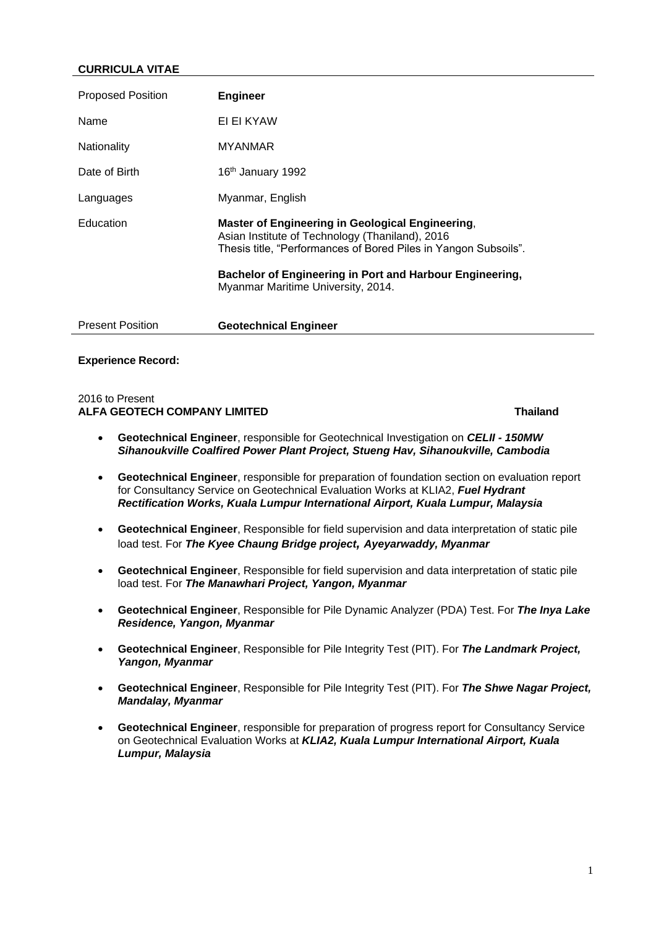# **CURRICULA VITAE**

| <b>Proposed Position</b> | <b>Engineer</b>                                                                                                                                                                                                                                                          |
|--------------------------|--------------------------------------------------------------------------------------------------------------------------------------------------------------------------------------------------------------------------------------------------------------------------|
| Name                     | EI EI KYAW                                                                                                                                                                                                                                                               |
| <b>Nationality</b>       | <b>MYANMAR</b>                                                                                                                                                                                                                                                           |
| Date of Birth            | 16 <sup>th</sup> January 1992                                                                                                                                                                                                                                            |
| Languages                | Myanmar, English                                                                                                                                                                                                                                                         |
| Education                | Master of Engineering in Geological Engineering,<br>Asian Institute of Technology (Thaniland), 2016<br>Thesis title, "Performances of Bored Piles in Yangon Subsoils".<br>Bachelor of Engineering in Port and Harbour Engineering,<br>Myanmar Maritime University, 2014. |
| <b>Present Position</b>  | <b>Geotechnical Engineer</b>                                                                                                                                                                                                                                             |

### **Experience Record:**

### 2016 to Present **ALFA GEOTECH COMPANY LIMITED Thailand**

- **Geotechnical Engineer**, responsible for Geotechnical Investigation on *CELII - 150MW Sihanoukville Coalfired Power Plant Project, Stueng Hav, Sihanoukville, Cambodia*
- **Geotechnical Engineer**, responsible for preparation of foundation section on evaluation report for Consultancy Service on Geotechnical Evaluation Works at KLIA2, *Fuel Hydrant Rectification Works, Kuala Lumpur International Airport, Kuala Lumpur, Malaysia*
- **Geotechnical Engineer**, Responsible for field supervision and data interpretation of static pile load test. For *The Kyee Chaung Bridge project, Ayeyarwaddy, Myanmar*
- **Geotechnical Engineer**, Responsible for field supervision and data interpretation of static pile load test. For *The Manawhari Project, Yangon, Myanmar*
- **Geotechnical Engineer**, Responsible for Pile Dynamic Analyzer (PDA) Test. For *The Inya Lake Residence, Yangon, Myanmar*
- **Geotechnical Engineer**, Responsible for Pile Integrity Test (PIT). For *The Landmark Project, Yangon, Myanmar*
- **Geotechnical Engineer**, Responsible for Pile Integrity Test (PIT). For *The Shwe Nagar Project, Mandalay, Myanmar*
- **Geotechnical Engineer**, responsible for preparation of progress report for Consultancy Service on Geotechnical Evaluation Works at *KLIA2, Kuala Lumpur International Airport, Kuala Lumpur, Malaysia*